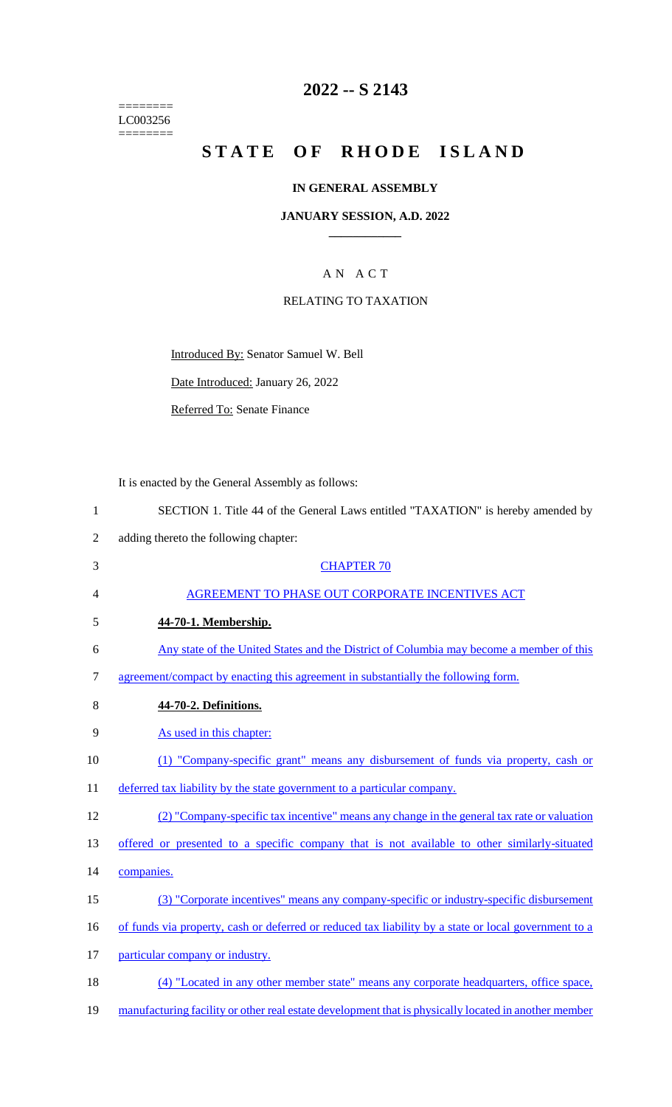======== LC003256 ========

## **2022 -- S 2143**

# **STATE OF RHODE ISLAND**

### **IN GENERAL ASSEMBLY**

### **JANUARY SESSION, A.D. 2022 \_\_\_\_\_\_\_\_\_\_\_\_**

## A N A C T

### RELATING TO TAXATION

Introduced By: Senator Samuel W. Bell

Date Introduced: January 26, 2022

Referred To: Senate Finance

It is enacted by the General Assembly as follows:

- 1 SECTION 1. Title 44 of the General Laws entitled "TAXATION" is hereby amended by
- 2 adding thereto the following chapter:
- 3 CHAPTER 70 4 AGREEMENT TO PHASE OUT CORPORATE INCENTIVES ACT 5 **44-70-1. Membership.**  6 Any state of the United States and the District of Columbia may become a member of this 7 agreement/compact by enacting this agreement in substantially the following form. 8 **44-70-2. Definitions.**  9 As used in this chapter: 10 (1) "Company-specific grant" means any disbursement of funds via property, cash or 11 deferred tax liability by the state government to a particular company. 12 (2) "Company-specific tax incentive" means any change in the general tax rate or valuation 13 offered or presented to a specific company that is not available to other similarly-situated 14 companies. 15 (3) "Corporate incentives" means any company-specific or industry-specific disbursement 16 of funds via property, cash or deferred or reduced tax liability by a state or local government to a 17 particular company or industry. 18 (4) "Located in any other member state" means any corporate headquarters, office space, 19 manufacturing facility or other real estate development that is physically located in another member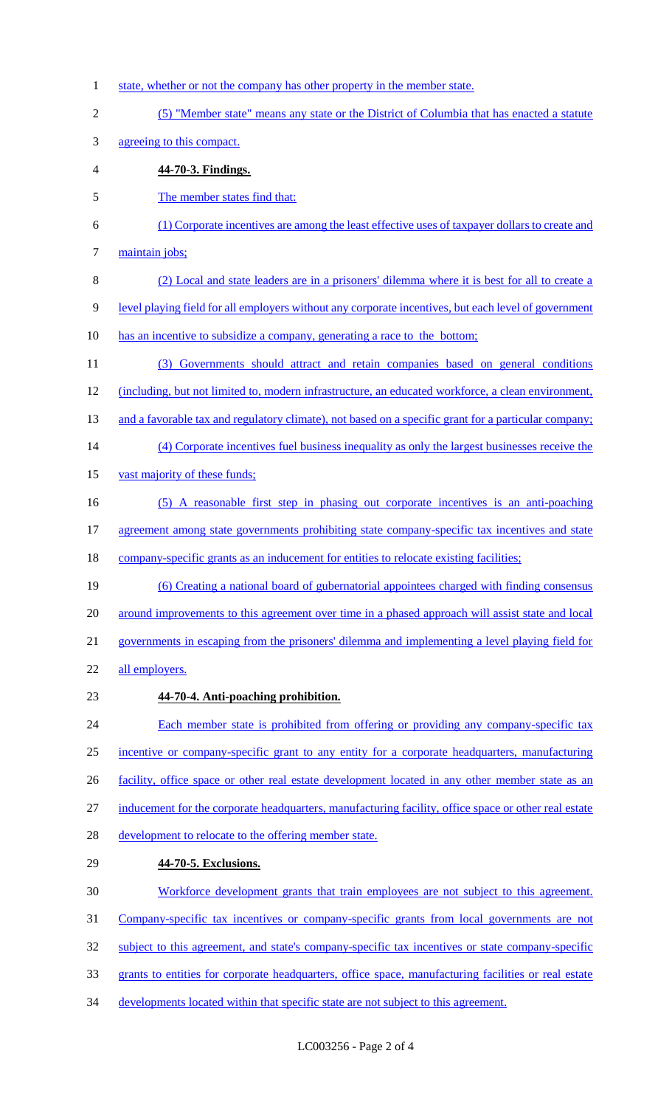- 1 state, whether or not the company has other property in the member state.
- (5) "Member state" means any state or the District of Columbia that has enacted a statute
- agreeing to this compact.
- **44-70-3. Findings.**
- The member states find that:
- (1) Corporate incentives are among the least effective uses of taxpayer dollars to create and
- 7 maintain jobs;
- (2) Local and state leaders are in a prisoners' dilemma where it is best for all to create a level playing field for all employers without any corporate incentives, but each level of government
- has an incentive to subsidize a company, generating a race to the bottom;
- (3) Governments should attract and retain companies based on general conditions (including, but not limited to, modern infrastructure, an educated workforce, a clean environment, 13 and a favorable tax and regulatory climate), not based on a specific grant for a particular company; (4) Corporate incentives fuel business inequality as only the largest businesses receive the vast majority of these funds; (5) A reasonable first step in phasing out corporate incentives is an anti-poaching 17 agreement among state governments prohibiting state company-specific tax incentives and state
- 18 company-specific grants as an inducement for entities to relocate existing facilities;
- (6) Creating a national board of gubernatorial appointees charged with finding consensus 20 around improvements to this agreement over time in a phased approach will assist state and local governments in escaping from the prisoners' dilemma and implementing a level playing field for
- all employers.
- **44-70-4. Anti-poaching prohibition.**
- 24 Each member state is prohibited from offering or providing any company-specific tax incentive or company-specific grant to any entity for a corporate headquarters, manufacturing 26 facility, office space or other real estate development located in any other member state as an inducement for the corporate headquarters, manufacturing facility, office space or other real estate development to relocate to the offering member state.
- **44-70-5. Exclusions.**
- Workforce development grants that train employees are not subject to this agreement.
- Company-specific tax incentives or company-specific grants from local governments are not
- 32 subject to this agreement, and state's company-specific tax incentives or state company-specific
- grants to entities for corporate headquarters, office space, manufacturing facilities or real estate
- developments located within that specific state are not subject to this agreement.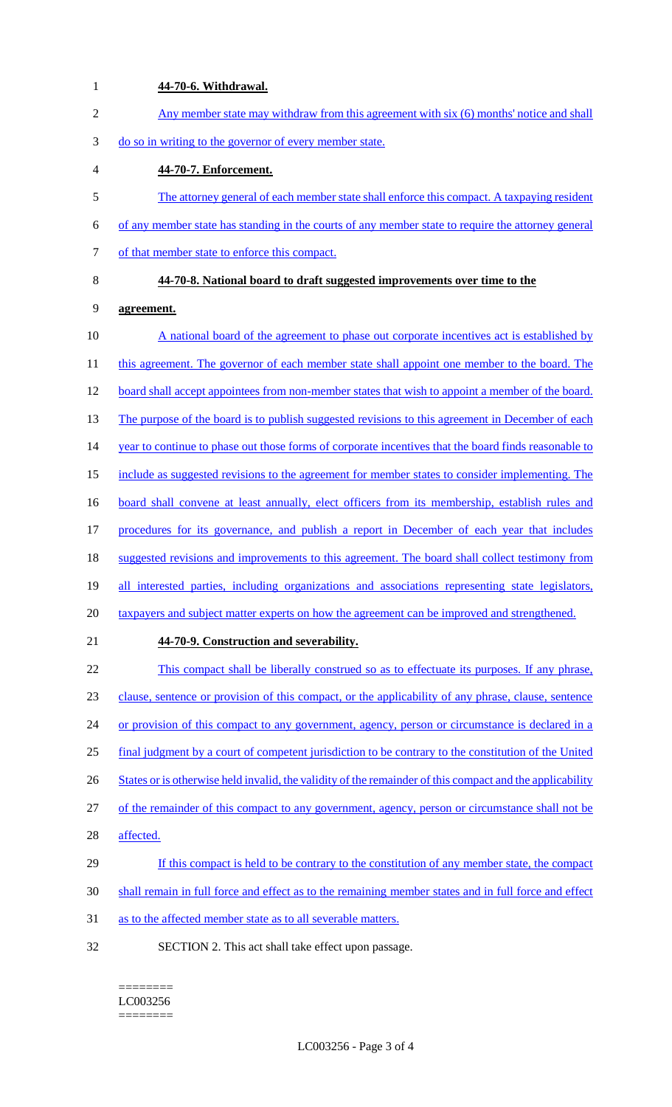| $\mathbf{1}$   | 44-70-6. Withdrawal.                                                                                     |
|----------------|----------------------------------------------------------------------------------------------------------|
| $\overline{2}$ | Any member state may withdraw from this agreement with six (6) months' notice and shall                  |
| 3              | do so in writing to the governor of every member state.                                                  |
| 4              | 44-70-7. Enforcement.                                                                                    |
| 5              | The attorney general of each member state shall enforce this compact. A taxpaying resident               |
| 6              | of any member state has standing in the courts of any member state to require the attorney general       |
| 7              | of that member state to enforce this compact.                                                            |
| 8              | 44-70-8. National board to draft suggested improvements over time to the                                 |
| 9              | agreement.                                                                                               |
| 10             | A national board of the agreement to phase out corporate incentives act is established by                |
| 11             | this agreement. The governor of each member state shall appoint one member to the board. The             |
| 12             | board shall accept appointees from non-member states that wish to appoint a member of the board.         |
| 13             | The purpose of the board is to publish suggested revisions to this agreement in December of each         |
| 14             | year to continue to phase out those forms of corporate incentives that the board finds reasonable to     |
| 15             | include as suggested revisions to the agreement for member states to consider implementing. The          |
| 16             | board shall convene at least annually, elect officers from its membership, establish rules and           |
| 17             | procedures for its governance, and publish a report in December of each year that includes               |
| 18             | suggested revisions and improvements to this agreement. The board shall collect testimony from           |
| 19             | all interested parties, including organizations and associations representing state legislators,         |
| 20             | taxpayers and subject matter experts on how the agreement can be improved and strengthened.              |
| 21             | 44-70-9. Construction and severability.                                                                  |
| 22             | This compact shall be liberally construed so as to effectuate its purposes. If any phrase,               |
| 23             | clause, sentence or provision of this compact, or the applicability of any phrase, clause, sentence      |
| 24             | or provision of this compact to any government, agency, person or circumstance is declared in a          |
| 25             | final judgment by a court of competent jurisdiction to be contrary to the constitution of the United     |
| 26             | States or is otherwise held invalid, the validity of the remainder of this compact and the applicability |
| 27             | of the remainder of this compact to any government, agency, person or circumstance shall not be          |
| 28             | affected.                                                                                                |
| 29             | If this compact is held to be contrary to the constitution of any member state, the compact              |
| 30             | shall remain in full force and effect as to the remaining member states and in full force and effect     |
| 31             | as to the affected member state as to all severable matters.                                             |
| 32             | SECTION 2. This act shall take effect upon passage.                                                      |

#### ======== LC003256  $=$